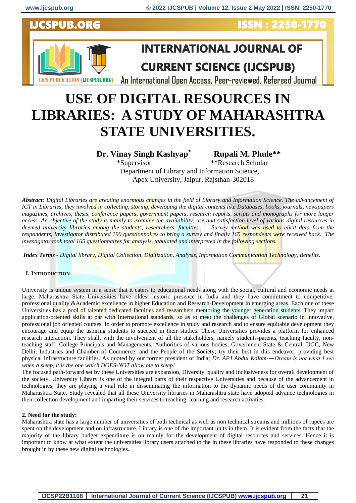**ISSN : 2250-17** 





**INTERNATIONAL JOURNAL OF CURRENT SCIENCE (IJCSPUB)** 

An International Open Access, Peer-reviewed, Refereed Journal

# **USE OF DIGITAL RESOURCES IN LIBRARIES: A STUDY OF MAHARASHTRA STATE UNIVERSITIES.**

# **Dr. Vinay Singh Kashyap<sup>\*</sup> <b>Rupali M. Phule\*\***<br>\*Supervisor \*\*Research Scholar

\*\*Research Scholar Department of Library and Information Science, Apex University, Jaipur, Rajsthan-302018

*Abstract: Digital Libraries are creating enormous changes in the field of Library and Information Science. The advancement of ICT in Libraries, they involved in collecting, storing, developing the digital contents like Databases, books, journals, newspapers magazines, archives, thesis, conference papers, government papers, research reports, scripts and monographs for more longer access. An objective of the study is mainly to examine the availability, use and satisfaction level of various digital resources in deemed university libraries among the students, researchers, faculties. Survey method was used to elicit data from the respondents, Investigator distributed 190 questionnaires to bring a survey and finally 165 respondents were received back. The investigator took total 165 questionnaires for analysis, tabulated and interpreted in the following sections.*

*Index Terms* - *Digital library, Digital Collection, Digitization, Analysis, Information Communication Technology, Benefits.*

## **I. INTRODUCTION**

University is unique system in a sense that it caters to educational needs along with the social, cultural and economic needs at large. Maharashtra State Universities have oldest historic presence in India and they have commitment to competitive, professional quality &Academic excellence in higher Education and Research-Development in emerging areas. Each one of these Universities has a pool of talented dedicated faculties and researchers mentoring the younger generation students. They impart application-oriented skills at par with International standards, so as to meet the challenges of Global scenario in innovative, professional job oriented courses. In order to promote excellence in study and research and to ensure equitable development they encourage and equip the aspiring students to succeed in their studies. These Universities provides a platform for enhanced research interaction. They shall, with the involvement of all the stakeholders, namely students-parents, teaching faculty, nonteaching staff, College Principals and Managements, Authorities of various bodies, Government-State & Central, UGC, New Delhi; Industries and Chamber of Commerce; and the People of the Society; try their best in this endeavor, providing best physical infrastructure facilities. As quoted by our former president of India; *Dr. APJ Abdul Kalam-―Dream is not what I see when a sleep, it is the one which DOES-NOT allow me to sleep!*

The focused path-forward set by these Universities are expansion, Diversity, quality and Inclusiveness for overall development of the society. University Library is one of the integral parts of their respective Universities and because of the advancement in technologies; they are playing a vital role in disseminating the information to the dynamic needs of the user community in Maharashtra State. Study revealed that all these University libraries in Maharashtra state have adopted advance technologies in their collection development and imparting their services to teaching, learning and research activities.

### **2. Need for the study:**

Maharashtra state has a large number of universities of both technical as well as non technical streams and millions of rupees are spent on the development and on infrastructure. Library is one of the important units in them. It is evident from the facts that the majority of the library budget expenditure is on mainly for the development of digital resources and services. Hence it is important to know at what extent the universities library users attached to the in these libraries have responded to these changes brought in by these new digital technologies.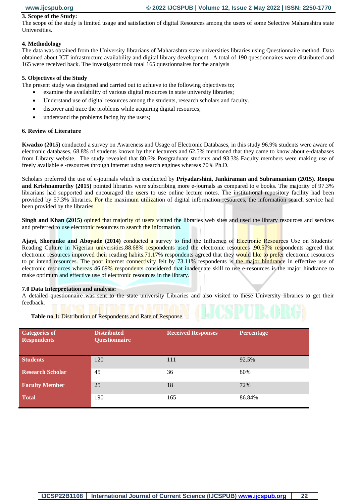#### **3. Scope of the Study:**

The scope of the study is limited usage and satisfaction of digital Resources among the users of some Selective Maharashtra state Universities.

#### **4. Methodology**

The data was obtained from the University librarians of Maharashtra state universities libraries using Questionnaire method. Data obtained about ICT infrastructure availability and digital library development. A total of 190 questionnaires were distributed and 165 were received back. The investigator took total 165 questionnaires for the analysis

### **5. Objectives of the Study**

The present study was designed and carried out to achieve to the following objectives to;

- examine the availability of various digital resources in state university libraries;
- Understand use of digital resources among the students, research scholars and faculty.
- discover and trace the problems while acquiring digital resources:
- understand the problems facing by the users;

#### **6. Review of Literature**

**Kwadzo (2015)** conducted a survey on Awareness and Usage of Electronic Databases, in this study 96.9% students were aware of electronic databases, 68.8% of students known by their lecturers and 62.5% mentioned that they came to know about e-databases from Library website. The study revealed that 80.6% Postgraduate students and 93.3% Faculty members were making use of freely available e -resources through internet using search engines whereas 70% Ph.D.

Scholars preferred the use of e-journals which is conducted by **Priyadarshini, Jankiraman and Subramaniam (2015). Roopa and Krishnamurthy (2015)** pointed libraries were subscribing more e-journals as compared to e books. The majority of 97.3% librarians had supported and encouraged the users to use online lecture notes. The institutional repository facility had been provided by 57.3% libraries. For the maximum utilization of digital information resources, the information search service had been provided by the libraries.

**Singh and Khan (2015)** opined that majority of users visited the libraries web sites and used the library resources and services and preferred to use electronic resources to search the information.

Ajayi, Shorunke and Aboyade (2014) conducted a survey to find the Influence of Electronic Resources Use on Students' Reading Culture in Nigerian universities.88.68% respondents used the electronic resources ,90.57% respondents agreed that electronic resources improved their reading habits.71.17% respondents agreed that they would like to prefer electronic resources to pr intend resources. The poor internet connectivity felt by 73.11% respondents is the major hindrance in effective use of electronic resources whereas 46.69% respondents considered that inadequate skill to use e-resources is the major hindrance to make optimum and effective use of electronic resources in the library.

#### **7.0 Data Interpretation and analysis:**

A detailed questionnaire was sent to the state university Libraries and also visited to these University libraries to get their feedback.

| <b>Categories of</b><br><b>Respondents</b> | <b>Distributed</b><br><b>Questionnaire</b> | <b>Received Responses</b> | <b>Percentage</b> |
|--------------------------------------------|--------------------------------------------|---------------------------|-------------------|
| <b>Students</b>                            | 120                                        | 111                       | 92.5%             |
| <b>Research Scholar</b>                    | 45                                         | 36                        | 80%               |
| <b>Faculty Member</b>                      | 25                                         | 18                        | 72%               |
| <b>Total</b>                               | 190                                        | 165                       | 86.84%            |

 **Table no 1:** Distribution of Respondents and Rate of Response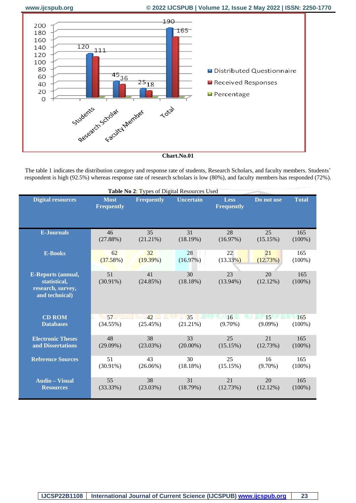

**Chart.No.01**

The table 1 indicates the distribution category and response rate of students, Research Scholars, and faculty members. Students' respondent is high (92.5%) whereas response rate of research scholars is low (80%), and faculty members has responded (72%).

| Table No 2: Types of Digital Resources Used                                      |                                  |                   |                  |                                  |                |                  |
|----------------------------------------------------------------------------------|----------------------------------|-------------------|------------------|----------------------------------|----------------|------------------|
| <b>Digital resources</b>                                                         | <b>Most</b><br><b>Frequently</b> | <b>Frequently</b> | <b>Uncertain</b> | <b>Less</b><br><b>Frequently</b> | Do not use     | <b>Total</b>     |
| <b>E-Journals</b>                                                                | 46                               | 35                | 31               | 28                               | 25             | 165              |
|                                                                                  | (27.88%)                         | $(21.21\%)$       | (18.19%)         | (16.97%)                         | (15.15%)       | $(100\%)$        |
| <b>E-Books</b>                                                                   | 62                               | 32                | 28               | 22                               | 21             | 165              |
|                                                                                  | (37.58%)                         | $(19.39\%)$       | (16.97%)         | $(13.33\%)$                      | (12.73%)       | $(100\%)$        |
| <b>E-Reports (annual,</b><br>statistical,<br>research, survey,<br>and technical) | 51<br>$(30.91\%)$                | 41<br>(24.85%)    | 30<br>(18.18%)   | 23<br>$(13.94\%)$                | 20<br>(12.12%) | 165<br>$(100\%)$ |
| <b>CD ROM</b>                                                                    | 57                               | 42                | 35               | 16                               | 15             | 165              |
| <b>Databases</b>                                                                 | (34.55%)                         | (25.45%)          | $(21.21\%)$      | $(9.70\%)$                       | $(9.09\%)$     | $(100\%)$        |
| <b>Electronic Theses</b>                                                         | 48                               | 38                | 33               | 25                               | 21             | 165              |
| and Dissertations                                                                | $(29.09\%)$                      | $(23.03\%)$       | $(20.00\%)$      | (15.15%)                         | (12.73%)       | $(100\%)$        |
| <b>Reference Sources</b>                                                         | 51                               | 43                | 30               | 25                               | 16             | 165              |
|                                                                                  | $(30.91\%)$                      | $(26.06\%)$       | (18.18%)         | (15.15%)                         | $(9.70\%)$     | $(100\%)$        |
| <b>Audio</b> – Visual                                                            | 55                               | 38                | 31               | 21                               | 20             | 165              |
| <b>Resources</b>                                                                 | (33.33%)                         | $(23.03\%)$       | (18.79%)         | (12.73%)                         | (12.12%)       | $(100\%)$        |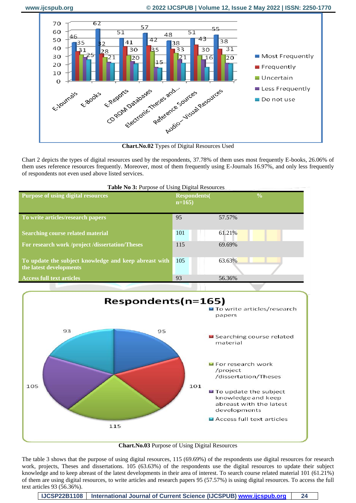

**Chart.No.02** Types of Digital Resources Used

Chart 2 depicts the types of digital resources used by the respondents, 37.78% of them uses most frequently E-books, 26.06% of them uses reference resources frequently. Moreover, most of them frequently using E-Journals 16.97%, and only less frequently of respondents not even used above listed services.

| Table No 3: Purpose of Using Digital Resources                                   |                                 |               |  |  |  |  |
|----------------------------------------------------------------------------------|---------------------------------|---------------|--|--|--|--|
| <b>Purpose of using digital resources</b>                                        | <b>Respondents</b> (<br>$n=165$ | $\frac{0}{0}$ |  |  |  |  |
| To write articles/research papers                                                | 95                              | 57.57%        |  |  |  |  |
| <b>Searching course related material</b>                                         | 101                             | 61.21%        |  |  |  |  |
| For research work /project /dissertation/Theses                                  | 115                             | 69.69%        |  |  |  |  |
| To update the subject knowledge and keep abreast with<br>the latest developments | 105                             | 63.63%        |  |  |  |  |
| <b>Access full text articles</b>                                                 | 93                              | 56.36%        |  |  |  |  |



**Chart.No.03** Purpose of Using Digital Resources

The table 3 shows that the purpose of using digital resources, 115 (69.69%) of the respondents use digital resources for research work, projects, Theses and dissertations. 105 (63.63%) of the respondents use the digital resources to update their subject knowledge and to keep abreast of the latest developments in their area of interest. To search course related material 101 (61.21%) of them are using digital resources, to write articles and research papers 95 (57.57%) is using digital resources. To access the full text articles 93 (56.36%).

**IJCSP22B1108 International Journal of Current Science (IJCSPUB) [www.ijcspub.org](http://www.ijcrt.org/) 24**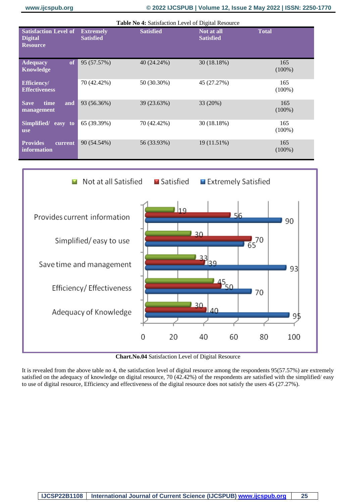| <b>Table No 4: Satisfaction Level of Digital Resource</b>         |                                      |                  |                                |                  |  |  |
|-------------------------------------------------------------------|--------------------------------------|------------------|--------------------------------|------------------|--|--|
| <b>Satisfaction Level of</b><br><b>Digital</b><br><b>Resource</b> | <b>Extremely</b><br><b>Satisfied</b> | <b>Satisfied</b> | Not at all<br><b>Satisfied</b> | <b>Total</b>     |  |  |
| of<br><b>Adequacy</b><br>Knowledge                                | 95 (57.57%)                          | 40 (24.24%)      | 30 (18.18%)                    | 165<br>$(100\%)$ |  |  |
| <b>Efficiency/</b><br><b>Effectiveness</b>                        | 70 (42.42%)                          | 50 (30.30%)      | 45 (27.27%)                    | 165<br>$(100\%)$ |  |  |
| time<br>and<br><b>Save</b><br>management                          | 93 (56.36%)                          | 39 (23.63%)      | 33 (20%)                       | 165<br>$(100\%)$ |  |  |
| Simplified/<br>easy to<br><b>use</b>                              | 65 (39.39%)                          | 70 (42.42%)      | 30 (18.18%)                    | 165<br>$(100\%)$ |  |  |
| <b>Provides</b><br>current<br><i>information</i>                  | 90 (54.54%)                          | 56 (33.93%)      | 19(11.51%)                     | 165<br>$(100\%)$ |  |  |



**Chart.No.04** Satisfaction Level of Digital Resource

It is revealed from the above table no 4, the satisfaction level of digital resource among the respondents 95(57.57%) are extremely satisfied on the adequacy of knowledge on digital resource, 70 (42.42%) of the respondents are satisfied with the simplified/ easy to use of digital resource, Efficiency and effectiveness of the digital resource does not satisfy the users 45 (27.27%).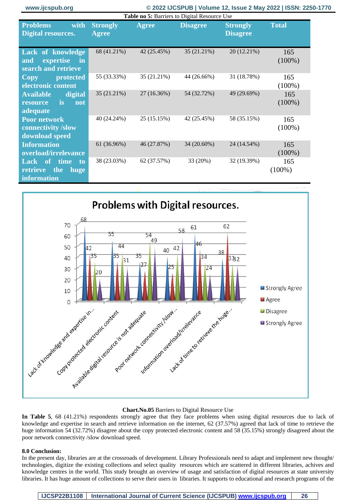| www.ijcspub.org                                                         |                                 |             |                 |                                    | © 2022 IJCSPUB   Volume 12, Issue 2 May 2022   ISSN: 2250-1770 |  |
|-------------------------------------------------------------------------|---------------------------------|-------------|-----------------|------------------------------------|----------------------------------------------------------------|--|
| Table no 5: Barriers to Digital Resource Use                            |                                 |             |                 |                                    |                                                                |  |
| with<br><b>Problems</b><br><b>Digital resources.</b>                    | <b>Strongly</b><br><b>Agree</b> | Agree       | <b>Disagree</b> | <b>Strongly</b><br><b>Disagree</b> | <b>Total</b>                                                   |  |
| Lack of knowledge<br>expertise<br>and<br>in<br>search and retrieve      | 68 (41.21%)                     | 42 (25.45%) | 35 (21.21%)     | 20 (12.21%)                        | 165<br>$(100\%)$                                               |  |
| <b>protected</b><br>$\overline{\mathrm{Copy}}$<br>electronic content    | 55 (33.33%)                     | 35 (21.21%) | 44 (26.66%)     | 31 (18.78%)                        | 165<br>$(100\%)$                                               |  |
| <b>Available</b><br>digital<br><i>is</i><br>not<br>resource<br>adequate | 35 (21.21%)                     | 27 (16.36%) | 54 (32.72%)     | 49 (29.69%)                        | 165<br>$(100\%)$                                               |  |
| <b>Poor network</b><br>connectivity /slow<br>download speed             | 40 (24.24%)                     | 25 (15.15%) | 42 (25.45%)     | 58 (35.15%)                        | 165<br>$(100\%)$                                               |  |
| <b>Information</b><br>overload/irrelevance                              | 61 (36.96%)                     | 46 (27.87%) | 34 (20.60%)     | 24 (14.54%)                        | 165<br>$(100\%)$                                               |  |
| Lack of time<br>to<br>the<br>retrieve<br>huge<br><i>information</i>     | 38 (23.03%)                     | 62 (37.57%) | 33 (20%)        | 32 (19.39%)                        | 165<br>$(100\%)$                                               |  |



## **Chart.No.05** Barriers to Digital Resource Use

**In Table 5**, 68 (41.21%) respondents strongly agree that they face problems when using digital resources due to lack of knowledge and expertise in search and retrieve information on the internet, 62 (37.57%) agreed that lack of time to retrieve the huge information 54 (32.72%) disagree about the copy protected electronic content and 58 (35.15%) strongly disagreed about the poor network connectivity /slow download speed.

### **8.0 Conclusion:**

In the present day, libraries are at the crossroads of development. Library Professionals need to adapt and implement new thought/ technologies, digitize the existing collections and select quality resources which are scattered in different libraries, achives and knowledge centres in the world. This study brought an overview of usage and satisfaction of digital resources at state university libraries. It has huge amount of collections to serve their users in libraries. It supports to educational and research programs of the